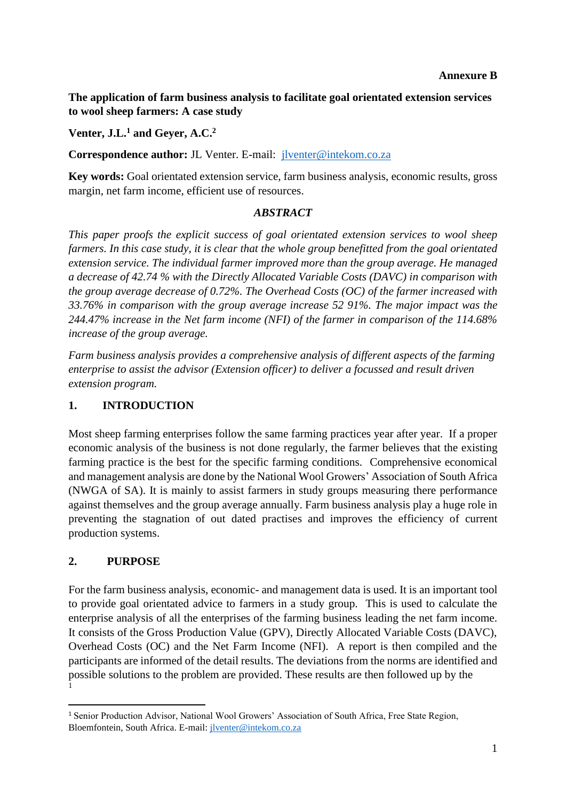#### **Annexure B**

**The application of farm business analysis to facilitate goal orientated extension services to wool sheep farmers: A case study**

**Venter, J.L.<sup>1</sup> and Geyer, A.C. 2**

**Correspondence author:** JL Venter. E-mail: [jlventer@intekom.co.za](mailto:jlventer@intekom.co.za)

**Key words:** Goal orientated extension service, farm business analysis, economic results, gross margin, net farm income, efficient use of resources.

#### *ABSTRACT*

*This paper proofs the explicit success of goal orientated extension services to wool sheep farmers. In this case study, it is clear that the whole group benefitted from the goal orientated extension service. The individual farmer improved more than the group average. He managed a decrease of 42.74 % with the Directly Allocated Variable Costs (DAVC) in comparison with the group average decrease of 0.72%. The Overhead Costs (OC) of the farmer increased with 33.76% in comparison with the group average increase 52 91%. The major impact was the 244.47% increase in the Net farm income (NFI) of the farmer in comparison of the 114.68% increase of the group average.*

*Farm business analysis provides a comprehensive analysis of different aspects of the farming enterprise to assist the advisor (Extension officer) to deliver a focussed and result driven extension program.* 

### **1. INTRODUCTION**

Most sheep farming enterprises follow the same farming practices year after year. If a proper economic analysis of the business is not done regularly, the farmer believes that the existing farming practice is the best for the specific farming conditions. Comprehensive economical and management analysis are done by the National Wool Growers' Association of South Africa (NWGA of SA). It is mainly to assist farmers in study groups measuring there performance against themselves and the group average annually. Farm business analysis play a huge role in preventing the stagnation of out dated practises and improves the efficiency of current production systems.

### **2. PURPOSE**

For the farm business analysis, economic- and management data is used. It is an important tool to provide goal orientated advice to farmers in a study group. This is used to calculate the enterprise analysis of all the enterprises of the farming business leading the net farm income. It consists of the Gross Production Value (GPV), Directly Allocated Variable Costs (DAVC), Overhead Costs (OC) and the Net Farm Income (NFI). A report is then compiled and the participants are informed of the detail results. The deviations from the norms are identified and possible solutions to the problem are provided. These results are then followed up by the 1

<sup>1</sup> Senior Production Advisor, National Wool Growers' Association of South Africa, Free State Region, Bloemfontein, South Africa. E-mail: [jlventer@intekom.co.za](mailto:jlventer@intekom.co.za)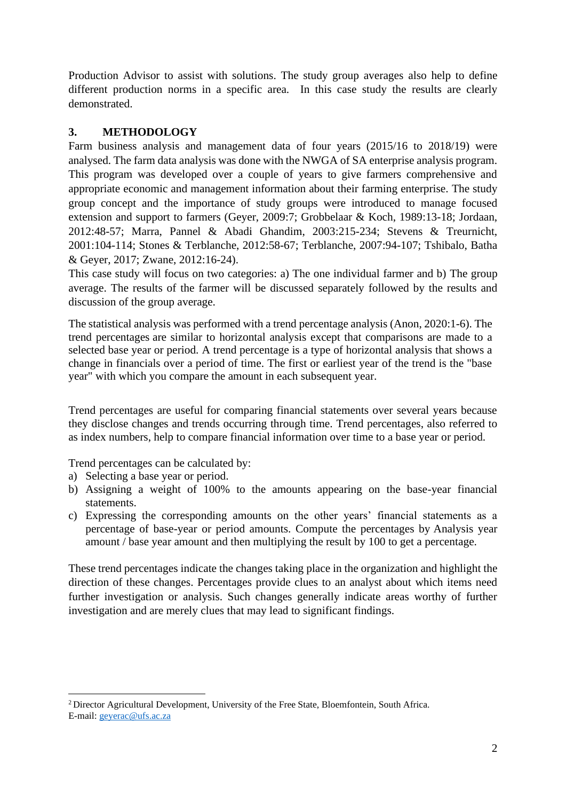Production Advisor to assist with solutions. The study group averages also help to define different production norms in a specific area. In this case study the results are clearly demonstrated.

# **3. METHODOLOGY**

Farm business analysis and management data of four years (2015/16 to 2018/19) were analysed. The farm data analysis was done with the NWGA of SA enterprise analysis program. This program was developed over a couple of years to give farmers comprehensive and appropriate economic and management information about their farming enterprise. The study group concept and the importance of study groups were introduced to manage focused extension and support to farmers (Geyer, 2009:7; Grobbelaar & Koch, 1989:13-18; Jordaan, 2012:48-57; Marra, Pannel & Abadi Ghandim, 2003:215-234; Stevens & Treurnicht, 2001:104-114; Stones & Terblanche, 2012:58-67; Terblanche, 2007:94-107; Tshibalo, Batha & Geyer, 2017; Zwane, 2012:16-24).

This case study will focus on two categories: a) The one individual farmer and b) The group average. The results of the farmer will be discussed separately followed by the results and discussion of the group average.

The statistical analysis was performed with a trend percentage analysis (Anon, 2020:1-6). The trend percentages are similar to horizontal analysis except that comparisons are made to a selected base year or period. A trend percentage is a type of horizontal analysis that shows a change in financials over a period of time. The first or earliest year of the trend is the "base year" with which you compare the amount in each subsequent year.

Trend percentages are useful for comparing financial statements over several years because they disclose changes and trends occurring through time. Trend percentages, also referred to as index numbers, help to compare financial information over time to a base year or period.

Trend percentages can be calculated by:

- a) Selecting a base year or period.
- b) Assigning a weight of 100% to the amounts appearing on the base-year financial statements.
- c) Expressing the corresponding amounts on the other years' financial statements as a percentage of base-year or period amounts. Compute the percentages by Analysis year amount / base year amount and then multiplying the result by 100 to get a percentage.

These trend percentages indicate the changes taking place in the organization and highlight the direction of these changes. Percentages provide clues to an analyst about which items need further investigation or analysis. Such changes generally indicate areas worthy of further investigation and are merely clues that may lead to significant findings.

<sup>2</sup>Director Agricultural Development, University of the Free State, Bloemfontein, South Africa. E-mail[: geyerac@ufs.ac.za](mailto:geyerac@ufs.ac.za)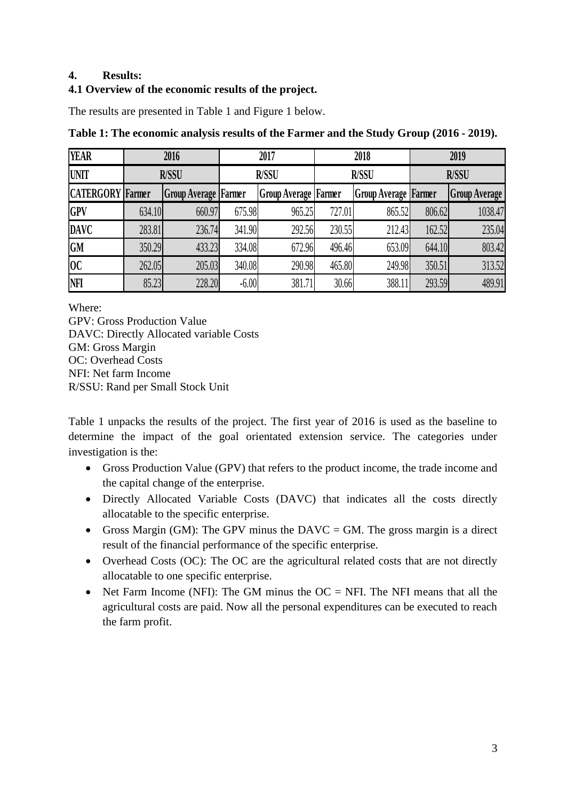### **4. Results:**

## **4.1 Overview of the economic results of the project.**

The results are presented in Table 1 and Figure 1 below.

| <b>YEAR</b>             | 2016         |                             | 2017         |                               | 2018         |                             | 2019         |                      |
|-------------------------|--------------|-----------------------------|--------------|-------------------------------|--------------|-----------------------------|--------------|----------------------|
| <b>UNIT</b>             | <b>R/SSU</b> |                             | <b>R/SSU</b> |                               | <b>R/SSU</b> |                             | <b>R/SSU</b> |                      |
| <b>CATERGORY</b> Farmer |              | <b>Group Average Farmer</b> |              | <b>Group Average   Farmer</b> |              | <b>Group Average Farmer</b> |              | <b>Group Average</b> |
| <b>GPV</b>              | 634.10       | 660.97                      | 675.98       | 965.25                        | 727.01       | 865.52                      | 806.62       | 1038.47              |
| <b>DAVC</b>             | 283.81       | 236.74                      | 341.90       | 292.56                        | 230.55       | 212.43                      | 162.52       | 235.04               |
| <b>GM</b>               | 350.29       | 433.23                      | 334.08       | 672.96                        | 496.46       | 653.09                      | 644.10       | 803.42               |
| 0 <sup>C</sup>          | 262.05       | 205.03                      | 340.08       | 290.98                        | 465.80       | 249.98                      | 350.51       | 313.52               |
| NFI                     | 85.23        | 228.20                      | $-6.00$      | 381.71                        | 30.66        | 388.11                      | 293.59       | 489.91               |

**Table 1: The economic analysis results of the Farmer and the Study Group (2016 - 2019).**

Where:

GPV: Gross Production Value DAVC: Directly Allocated variable Costs GM: Gross Margin OC: Overhead Costs NFI: Net farm Income R/SSU: Rand per Small Stock Unit

Table 1 unpacks the results of the project. The first year of 2016 is used as the baseline to determine the impact of the goal orientated extension service. The categories under investigation is the:

- Gross Production Value (GPV) that refers to the product income, the trade income and the capital change of the enterprise.
- Directly Allocated Variable Costs (DAVC) that indicates all the costs directly allocatable to the specific enterprise.
- Gross Margin (GM): The GPV minus the DAVC = GM. The gross margin is a direct result of the financial performance of the specific enterprise.
- Overhead Costs (OC): The OC are the agricultural related costs that are not directly allocatable to one specific enterprise.
- Net Farm Income (NFI): The GM minus the  $OC = NFI$ . The NFI means that all the agricultural costs are paid. Now all the personal expenditures can be executed to reach the farm profit.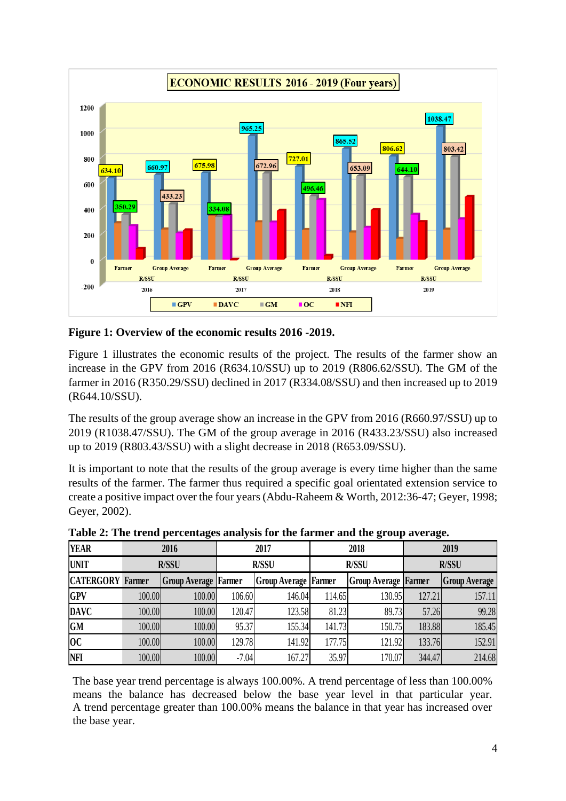

**Figure 1: Overview of the economic results 2016 -2019.**

Figure 1 illustrates the economic results of the project. The results of the farmer show an increase in the GPV from 2016 (R634.10/SSU) up to 2019 (R806.62/SSU). The GM of the farmer in 2016 (R350.29/SSU) declined in 2017 (R334.08/SSU) and then increased up to 2019 (R644.10/SSU).

The results of the group average show an increase in the GPV from 2016 (R660.97/SSU) up to 2019 (R1038.47/SSU). The GM of the group average in 2016 (R433.23/SSU) also increased up to 2019 (R803.43/SSU) with a slight decrease in 2018 (R653.09/SSU).

It is important to note that the results of the group average is every time higher than the same results of the farmer. The farmer thus required a specific goal orientated extension service to create a positive impact over the four years (Abdu-Raheem & Worth, 2012:36-47; Geyer, 1998; Geyer, 2002).

| <b>YEAR</b>             | 2016         |                             | 2017         |                               | 2018         |                             | 2019         |                      |
|-------------------------|--------------|-----------------------------|--------------|-------------------------------|--------------|-----------------------------|--------------|----------------------|
| <b>UNIT</b>             | <b>R/SSU</b> |                             | <b>R/SSU</b> |                               | <b>R/SSU</b> |                             | <b>R/SSU</b> |                      |
| <b>CATERGORY</b> Farmer |              | <b>Group Average Farmer</b> |              | <b>Group Average   Farmer</b> |              | <b>Group Average Farmer</b> |              | <b>Group Average</b> |
| <b>GPV</b>              | 100.00       | 100.00                      | 106.60       | 146.04                        | 114.65       | 130.95                      | 127.21       | 157.11               |
| <b>DAVC</b>             | 100.00       | 100.00                      | 120.47       | 123.58                        | 81.23        | 89.73                       | 57.26        | 99.28                |
| <b>GM</b>               | 100.00       | 100.00                      | 95.37        | 155.34                        | 141.73       | 150.75                      | 183.88       | 185.45               |
| 0 <sup>C</sup>          | 100.00       | 100.00                      | 129.78       | 141.92                        | 177.75       | 121.92                      | 133.76       | 152.91               |
| <b>NFI</b>              | 100.00       | 100.00                      | $-7.04$      | 167.27                        | 35.97        | 170.07                      | 344.47       | 214.68               |

**Table 2: The trend percentages analysis for the farmer and the group average.**

The base year trend percentage is always 100.00%. A trend percentage of less than 100.00% means the balance has decreased below the base year level in that particular year. A trend percentage greater than 100.00% means the balance in that year has increased over the base year.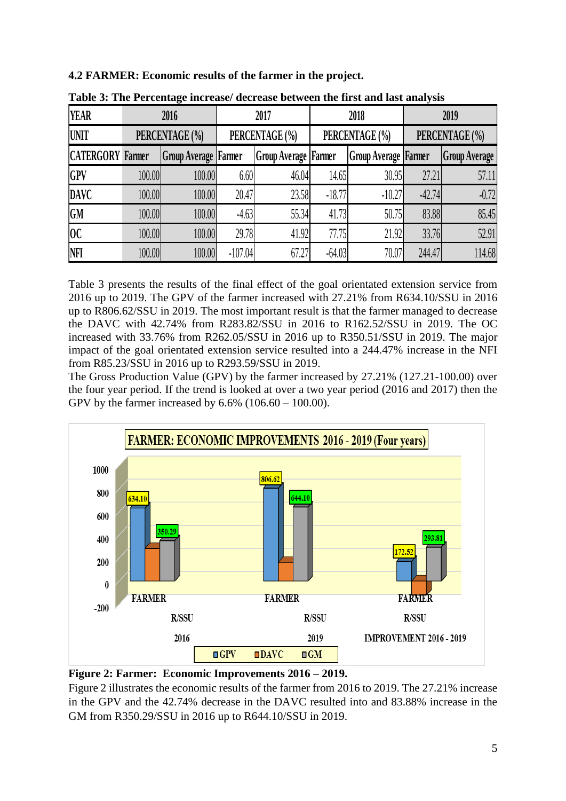**4.2 FARMER: Economic results of the farmer in the project.**

| <b>YEAR</b>             | 2016           |                             | 2017           |                             | 2018           |                             | 2019           |                      |
|-------------------------|----------------|-----------------------------|----------------|-----------------------------|----------------|-----------------------------|----------------|----------------------|
| <b>UNIT</b>             | PERCENTAGE (%) |                             | PERCENTAGE (%) |                             | PERCENTAGE (%) |                             | PERCENTAGE (%) |                      |
| <b>CATERGORY</b> Farmer |                | <b>Group Average Farmer</b> |                | <b>Group Average Farmer</b> |                | <b>Group Average Farmer</b> |                | <b>Group Average</b> |
| <b>GPV</b>              | 100.00         | 100.00                      | 6.60           | 46.04                       | 14.65          | 30.95                       | 27.21          | 57.11                |
| <b>DAVC</b>             | 100.00         | 100.00                      | 20.47          | 23.58                       | $-18.77$       | $-10.27$                    | $-42.74$       | $-0.72$              |
| <b>GM</b>               | 100.00         | 100.00                      | $-4.63$        | 55.34                       | 41.73          | 50.75                       | 83.88          | 85.45                |
| 0 <sup>c</sup>          | 100.00         | 100.00                      | 29.78          | 41.92                       | 77.75          | 21.92                       | 33.76          | 52.91                |
| NFI                     | 100.00         | 100.00                      | $-107.04$      | 67.27                       | $-64.03$       | 70.07                       | 244.47         | 114.68               |

**Table 3: The Percentage increase/ decrease between the first and last analysis**

Table 3 presents the results of the final effect of the goal orientated extension service from 2016 up to 2019. The GPV of the farmer increased with 27.21% from R634.10/SSU in 2016 up to R806.62/SSU in 2019. The most important result is that the farmer managed to decrease the DAVC with 42.74% from R283.82/SSU in 2016 to R162.52/SSU in 2019. The OC increased with 33.76% from R262.05/SSU in 2016 up to R350.51/SSU in 2019. The major impact of the goal orientated extension service resulted into a 244.47% increase in the NFI from R85.23/SSU in 2016 up to R293.59/SSU in 2019.

The Gross Production Value (GPV) by the farmer increased by 27.21% (127.21-100.00) over the four year period. If the trend is looked at over a two year period (2016 and 2017) then the GPV by the farmer increased by 6.6% (106.60 – 100.00).





Figure 2 illustrates the economic results of the farmer from 2016 to 2019. The 27.21% increase in the GPV and the 42.74% decrease in the DAVC resulted into and 83.88% increase in the GM from R350.29/SSU in 2016 up to R644.10/SSU in 2019.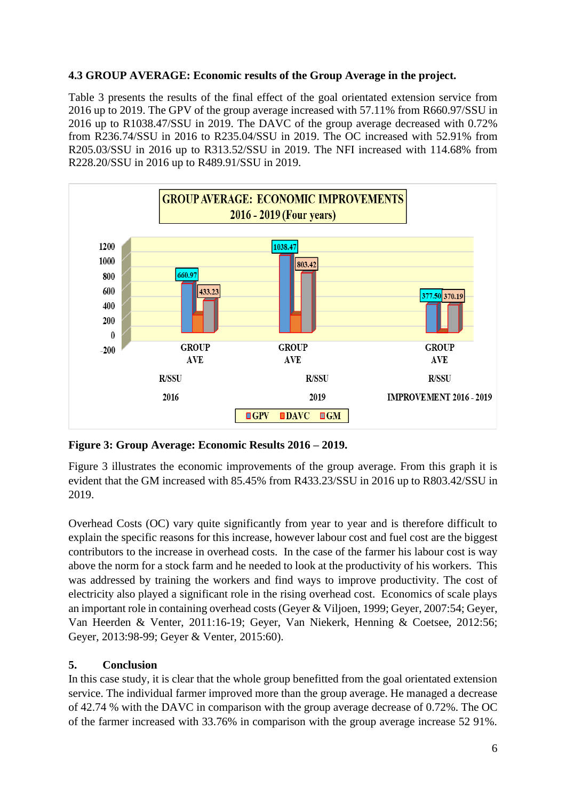## **4.3 GROUP AVERAGE: Economic results of the Group Average in the project.**

Table 3 presents the results of the final effect of the goal orientated extension service from 2016 up to 2019. The GPV of the group average increased with 57.11% from R660.97/SSU in 2016 up to R1038.47/SSU in 2019. The DAVC of the group average decreased with 0.72% from R236.74/SSU in 2016 to R235.04/SSU in 2019. The OC increased with 52.91% from R205.03/SSU in 2016 up to R313.52/SSU in 2019. The NFI increased with 114.68% from R228.20/SSU in 2016 up to R489.91/SSU in 2019.



**Figure 3: Group Average: Economic Results 2016 – 2019.**

Figure 3 illustrates the economic improvements of the group average. From this graph it is evident that the GM increased with 85.45% from R433.23/SSU in 2016 up to R803.42/SSU in 2019.

Overhead Costs (OC) vary quite significantly from year to year and is therefore difficult to explain the specific reasons for this increase, however labour cost and fuel cost are the biggest contributors to the increase in overhead costs. In the case of the farmer his labour cost is way above the norm for a stock farm and he needed to look at the productivity of his workers. This was addressed by training the workers and find ways to improve productivity. The cost of electricity also played a significant role in the rising overhead cost. Economics of scale plays an important role in containing overhead costs (Geyer & Viljoen, 1999; Geyer, 2007:54; Geyer, Van Heerden & Venter, 2011:16-19; Geyer, Van Niekerk, Henning & Coetsee, 2012:56; Geyer, 2013:98-99; Geyer & Venter, 2015:60).

# **5. Conclusion**

In this case study, it is clear that the whole group benefitted from the goal orientated extension service. The individual farmer improved more than the group average. He managed a decrease of 42.74 % with the DAVC in comparison with the group average decrease of 0.72%. The OC of the farmer increased with 33.76% in comparison with the group average increase 52 91%.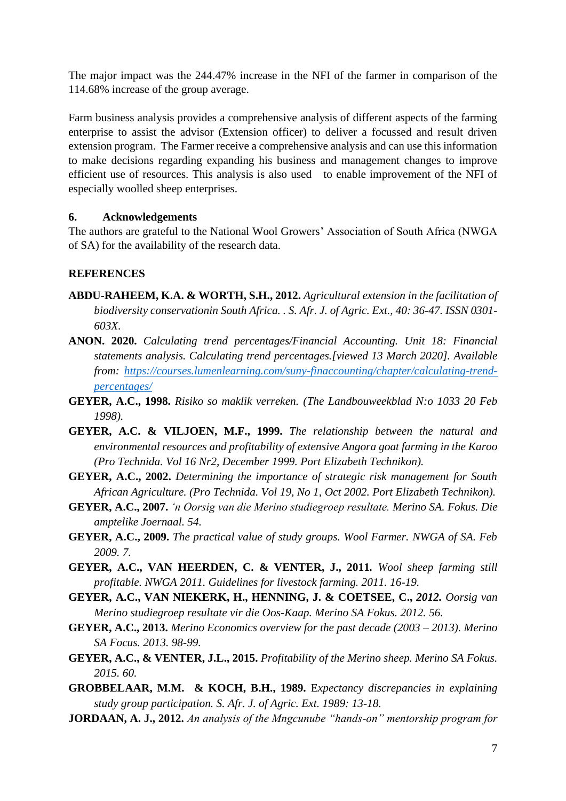The major impact was the 244.47% increase in the NFI of the farmer in comparison of the 114.68% increase of the group average.

Farm business analysis provides a comprehensive analysis of different aspects of the farming enterprise to assist the advisor (Extension officer) to deliver a focussed and result driven extension program. The Farmer receive a comprehensive analysis and can use this information to make decisions regarding expanding his business and management changes to improve efficient use of resources. This analysis is also used to enable improvement of the NFI of especially woolled sheep enterprises.

### **6. Acknowledgements**

The authors are grateful to the National Wool Growers' Association of South Africa (NWGA of SA) for the availability of the research data.

## **REFERENCES**

- **ABDU-RAHEEM, K.A. & WORTH, S.H., 2012.** *Agricultural extension in the facilitation of biodiversity conservationin South Africa. . S. Afr. J. of Agric. Ext., 40: 36-47. ISSN 0301- 603X.*
- **ANON. 2020.** *Calculating trend percentages/Financial Accounting. Unit 18: Financial statements analysis. Calculating trend percentages.[viewed 13 March 2020]. Available from: [https://courses.lumenlearning.com/suny-finaccounting/chapter/calculating-trend](https://courses.lumenlearning.com/suny-finaccounting/chapter/calculating-trend-percentages/)[percentages/](https://courses.lumenlearning.com/suny-finaccounting/chapter/calculating-trend-percentages/)*
- **GEYER, A.C., 1998.** *Risiko so maklik verreken. (The Landbouweekblad N:o 1033 20 Feb 1998).*
- **GEYER, A.C. & VILJOEN, M.F., 1999.** *The relationship between the natural and environmental resources and profitability of extensive Angora goat farming in the Karoo (Pro Technida. Vol 16 Nr2, December 1999. Port Elizabeth Technikon).*
- **GEYER, A.C., 2002.** *Determining the importance of strategic risk management for South African Agriculture. (Pro Technida. Vol 19, No 1, Oct 2002. Port Elizabeth Technikon).*
- **GEYER, A.C., 2007.** *'n Oorsig van die Merino studiegroep resultate. Merino SA. Fokus. Die amptelike Joernaal. 54.*
- **GEYER, A.C., 2009.** *The practical value of study groups. Wool Farmer. NWGA of SA. Feb 2009. 7.*
- **GEYER, A.C., VAN HEERDEN, C. & VENTER, J., 2011***. Wool sheep farming still profitable. NWGA 2011. Guidelines for livestock farming. 2011. 16-19.*
- **GEYER, A.C., VAN NIEKERK, H., HENNING, J. & COETSEE, C.,** *2012. Oorsig van Merino studiegroep resultate vir die Oos-Kaap. Merino SA Fokus. 2012. 56.*
- **GEYER, A.C., 2013.** *Merino Economics overview for the past decade (2003 – 2013). Merino SA Focus. 2013. 98-99.*
- **GEYER, A.C., & VENTER, J.L., 2015.** *Profitability of the Merino sheep. Merino SA Fokus. 2015. 60.*
- **GROBBELAAR, M.M. & KOCH, B.H., 1989.** E*xpectancy discrepancies in explaining study group participation. S. Afr. J. of Agric. Ext. 1989: 13-18.*
- **JORDAAN, A. J., 2012.** *An analysis of the Mngcunube "hands-on" mentorship program for*